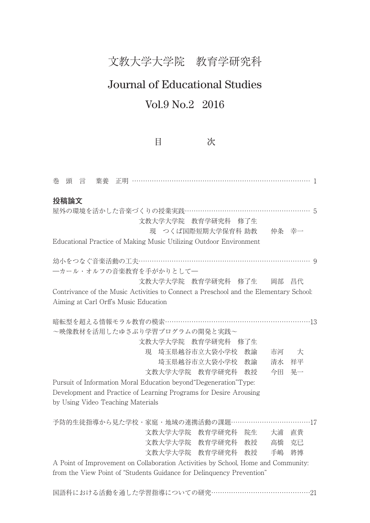文教大学大学院 教育学研究科

## Journal of Educational Studies

## Vol.9 No.2 2016

目 次

巻 頭 言 葉養 正明 ……………………………………………………………………… 1 **投稿論文** 屋外の環境を活かした音楽づくりの授業実践………………………………………………… 5 文教大学大学院 教育学研究科 修了生 現 つくば国際短期大学保育科 助教 仲条 幸一 Educational Practice of Making Music Utilizing Outdoor Environment 幼小をつなぐ音楽活動の工夫…………………………………………………………………… 9 ―カール・オルフの音楽教育を手がかりとして― 文教大学大学院 教育学研究科 修了生 岡部 昌代 Contrivance of the Music Activities to Connect a Preschool and the Elementary School: Aiming at Carl Orff's Music Education 暗転型を超える情報モラル教育の模索…………………………………………………………13 ~映像教材を活用したゆさぶり学習プログラムの開発と実践~ 文教大学大学院 教育学研究科 修了生 現 埼玉県越谷市立大袋小学校 教諭 市河 大 埼玉県越谷市立大袋小学校 教諭 清水 祥平 文教大学大学院 教育学研究科 教授 今田 晃一 Pursuit of Information Moral Education beyond"Degeneration"Type: Development and Practice of Learning Programs for Desire Arousing by Using Video Teaching Materials 予防的生徒指導から見た学校・家庭・地域の連携活動の課題 ………………………………17 文教大学大学院 教育学研究科 院生 大浦 直貴 文教大学大学院 教育学研究科 教授 高橋 克已 文教大学大学院 教育学研究科 教授 手嶋 將博 A Point of Improvement on Collaboration Activities by School, Home and Community:

from the View Point of "Students Guidance for Delinquency Prevention"

国語科における活動を通した学習指導についての研究………………………………………21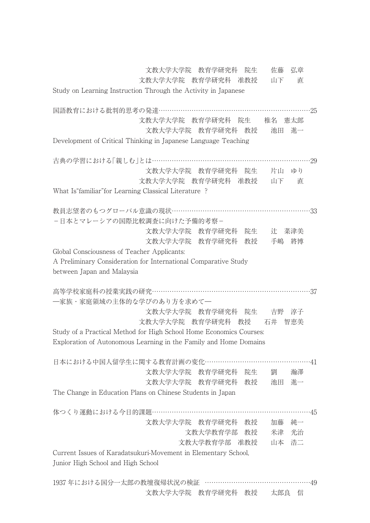文教大学大学院 教育学研究科 院生 佐藤 弘章

文教大学大学院 教育学研究科 准教授 山下 直

Study on Learning Instruction Through the Activity in Japanese

国語教育における批判的思考の発達……………………………………………………………25 文教大学大学院 教育学研究科 院生 椎名 憲太郎 文教大学大学院 教育学研究科 教授 池田 進一 Development of Critical Thinking in Japanese Language Teaching 古典の学習における「親しむ」とは………………………………………………………………29 文教大学大学院 教育学研究科 院生 片山 ゆり 文教大学大学院 教育学研究科 准教授 山下 直 What Is"familiar"for Learning Classical Literature ? 教員志望者のもつグローバル意識の現状………………………………………………………33 -日本とマレーシアの国際比較調査に向けた予備的考察- 文教大学大学院 教育学研究科 院生 辻 菜津美 文教大学大学院 教育学研究科 教授 手嶋 將博 Global Consciousness of Teacher Applicants: A Preliminary Consideration for International Comparative Study between Japan and Malaysia 高等学校家庭科の授業実践の研究………………………………………………………………37 ―家族・家庭領域の主体的な学びのあり方を求めて― 文教大学大学院 教育学研究科 院生 吉野 淳子 文教大学大学院 教育学研究科 教授 石井 智恵美 Study of a Practical Method for High School Home Economics Courses: Exploration of Autonomous Learning in the Family and Home Domains 日本における中国人留学生に関する教育計画の変化…………………………………………41 文教大学大学院 教育学研究科 院生 劉 瀚澤 文教大学大学院 教育学研究科 教授 池田 進一 The Change in Education Plans on Chinese Students in Japan 体つくり運動における今日的課題……………………………………………………………45 文教大学大学院 教育学研究科 教授 加藤 純一 文教大学教育学部 教授 米津 光治 文教大学教育学部 准教授 山本 浩二 Current Issues of Karadatsukuri-Movement in Elementary School, Junior High School and High School

1937 年における国分一太郎の教壇復帰状況の検証 …………………………………………49 文教大学大学院 教育学研究科 教授 太郎良 信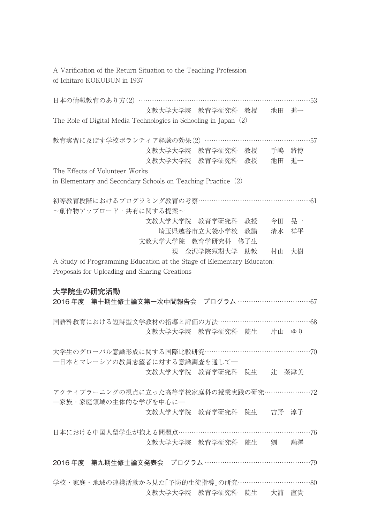A Varification of the Return Situation to the Teaching Profession of Ichitaro KOKUBUN in 1937

日本の情報教育のあり方(2) ………………………………………………………………………………53 文教大学大学院 教育学研究科 教授 池田 進一 The Role of Digital Media Technologies in Schooling in Japan(2) 教育実習に及ぼす学校ボランティア経験の効果(2) …………………………………………57 文教大学大学院 教育学研究科 教授 手嶋 將博 文教大学大学院 教育学研究科 教授 池田 進一 The Effects of Volunteer Works in Elementary and Secondary Schools on Teaching Practice $(2)$ 初等教育段階におけるプログラミング教育の考察……………………………………………61 ~創作物アップロード・共有に関する提案~ 文教大学大学院 教育学研究科 教授 今田 晃一 埼玉県越谷市立大袋小学校 教諭 清水 祥平 文教大学大学院 教育学研究科 修了生 現 金沢学院短期大学 助教 村山 大樹 A Study of Programming Education at the Stage of Elementary Educaton: Proposals for Uploading and Sharing Creations **大学院生の研究活動** 2016 年度 第十期生修士論文第一次中間報告会 プログラム ……………………………67 国語科教育における短詩型文学教材の指導と評価の方法……………………………………68 文教大学大学院 教育学研究科 院生 片山 ゆり 大学生のグローバル意識形成に関する国際比較研究…………………………………………70 ―日本とマレーシアの教員志望者に対する意識調査を通して― 文教大学大学院 教育学研究科 院生 辻 菜津美 アクティブラーニングの視点に立った高等学校家庭科の授業実践の研究…………………72 ―家族・家庭領域の主体的な学びを中心に― 文教大学大学院 教育学研究科 院生 吉野 淳子 日本における中国人留学生が抱える問題点……………………………………………………76 文教大学大学院 教育学研究科 院生 劉 瀚澤 2016 年度 第九期生修士論文発表会 プログラム …………………………………………79 学校・家庭・地域の連携活動から見た「予防的生徒指導」の研究………………………………80 文教大学大学院 教育学研究科 院生 大浦 直貴